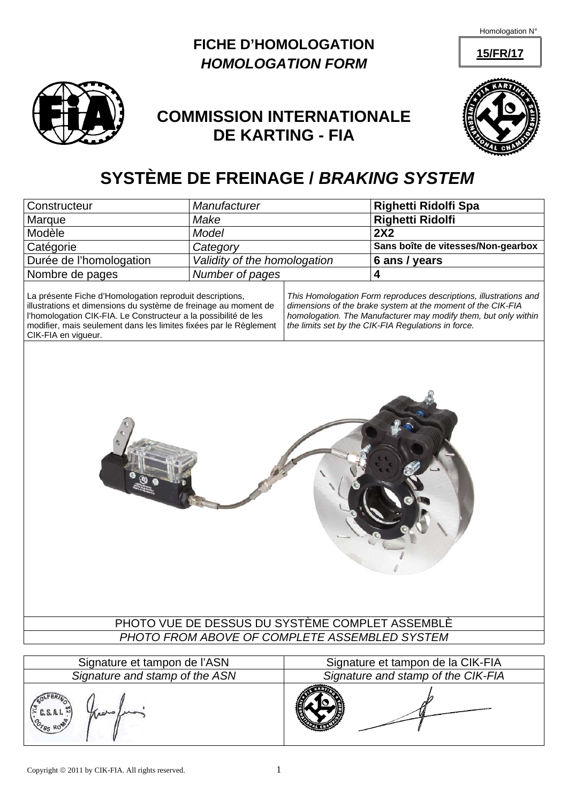**15/FR/17**





# **COMMISSION INTERNATIONALE DE KARTING - FIA**



# **SYSTÈME DE FREINAGE /** *BRAKING SYSTEM*

| <b>Righetti Ridolfi</b><br>Make<br>Marque<br>2X2<br>Model<br>Modèle<br>Catégorie<br>Category<br>Durée de l'homologation<br>Validity of the homologation<br>6 ans / years<br>4<br>Nombre de pages<br>Number of pages<br>La présente Fiche d'Homologation reproduit descriptions,<br>illustrations et dimensions du système de freinage au moment de<br>l'homologation CIK-FIA. Le Constructeur a la possibilité de les<br>modifier, mais seulement dans les limites fixées par le Règlement<br>the limits set by the CIK-FIA Regulations in force.<br>CIK-FIA en vigueur. | Constructeur | Manufacturer |                                                                                                                                                                                                     | Righetti Ridolfi Spa               |  |
|--------------------------------------------------------------------------------------------------------------------------------------------------------------------------------------------------------------------------------------------------------------------------------------------------------------------------------------------------------------------------------------------------------------------------------------------------------------------------------------------------------------------------------------------------------------------------|--------------|--------------|-----------------------------------------------------------------------------------------------------------------------------------------------------------------------------------------------------|------------------------------------|--|
|                                                                                                                                                                                                                                                                                                                                                                                                                                                                                                                                                                          |              |              |                                                                                                                                                                                                     |                                    |  |
|                                                                                                                                                                                                                                                                                                                                                                                                                                                                                                                                                                          |              |              |                                                                                                                                                                                                     |                                    |  |
|                                                                                                                                                                                                                                                                                                                                                                                                                                                                                                                                                                          |              |              |                                                                                                                                                                                                     | Sans boîte de vitesses/Non-gearbox |  |
|                                                                                                                                                                                                                                                                                                                                                                                                                                                                                                                                                                          |              |              |                                                                                                                                                                                                     |                                    |  |
|                                                                                                                                                                                                                                                                                                                                                                                                                                                                                                                                                                          |              |              |                                                                                                                                                                                                     |                                    |  |
|                                                                                                                                                                                                                                                                                                                                                                                                                                                                                                                                                                          |              |              | This Homologation Form reproduces descriptions, illustrations and<br>dimensions of the brake system at the moment of the CIK-FIA<br>homologation. The Manufacturer may modify them, but only within |                                    |  |
| PHOTO VUE DE DESSUS DU SYSTÈME COMPLET ASSEMBLÈ                                                                                                                                                                                                                                                                                                                                                                                                                                                                                                                          |              |              |                                                                                                                                                                                                     |                                    |  |
| PHOTO FROM ABOVE OF COMPLETE ASSEMBLED SYSTEM                                                                                                                                                                                                                                                                                                                                                                                                                                                                                                                            |              |              |                                                                                                                                                                                                     |                                    |  |

| Signature et tampon de l'ASN   | Signature et tampon de la CIK-FIA  |
|--------------------------------|------------------------------------|
| Signature and stamp of the ASN | Signature and stamp of the CIK-FIA |
| U.S.A.I.<br>$-85 R0^{11}$      |                                    |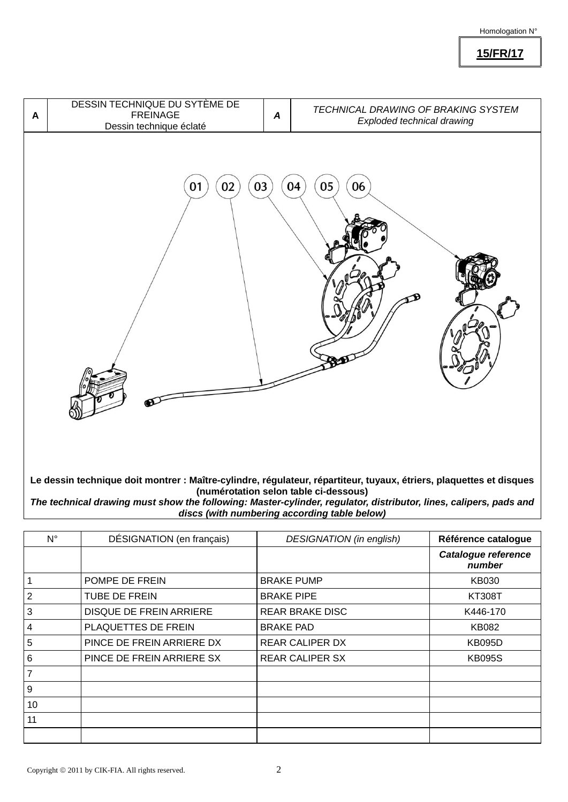**15/FR/17**



*The technical drawing must show the following: Master-cylinder, regulator, distributor, lines, calipers, pads and discs (with numbering according table below)*

| $N^{\circ}$ | DÉSIGNATION (en français) | <b>DESIGNATION</b> (in english) | Référence catalogue           |
|-------------|---------------------------|---------------------------------|-------------------------------|
|             |                           |                                 | Catalogue reference<br>number |
|             | POMPE DE FREIN            | <b>BRAKE PUMP</b>               | KB030                         |
| 2           | <b>TUBE DE FREIN</b>      | <b>BRAKE PIPE</b>               | <b>KT308T</b>                 |
| 3           | DISQUE DE FREIN ARRIERE   | <b>REAR BRAKE DISC</b>          | K446-170                      |
| 4           | PLAQUETTES DE FREIN       | <b>BRAKE PAD</b>                | <b>KB082</b>                  |
| 5           | PINCE DE FREIN ARRIERE DX | <b>REAR CALIPER DX</b>          | <b>KB095D</b>                 |
| 6           | PINCE DE FREIN ARRIERE SX | <b>REAR CALIPER SX</b>          | <b>KB095S</b>                 |
| 7           |                           |                                 |                               |
| 9           |                           |                                 |                               |
| 10          |                           |                                 |                               |
| 11          |                           |                                 |                               |
|             |                           |                                 |                               |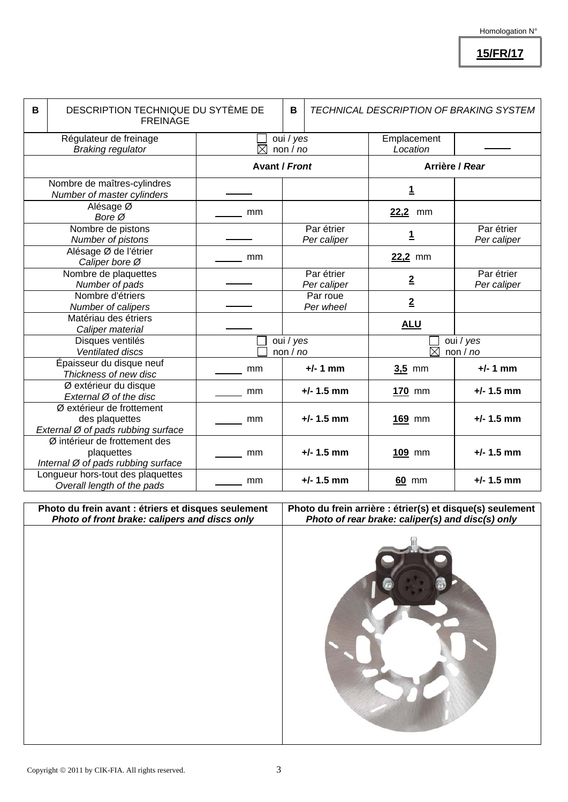**15/FR/17**

| B | DESCRIPTION TECHNIQUE DU SYTÈME DE<br><b>FREINAGE</b>                             |                                    | B                    |                           | TECHNICAL DESCRIPTION OF BRAKING SYSTEM |                           |
|---|-----------------------------------------------------------------------------------|------------------------------------|----------------------|---------------------------|-----------------------------------------|---------------------------|
|   | Régulateur de freinage<br><b>Braking regulator</b>                                | oui / yes<br>$\boxtimes$<br>non/no |                      |                           | Emplacement<br>Location                 |                           |
|   |                                                                                   |                                    | <b>Avant / Front</b> |                           | Arrière / Rear                          |                           |
|   | Nombre de maîtres-cylindres<br>Number of master cylinders                         |                                    |                      |                           | <u>1</u>                                |                           |
|   | Alésage Ø<br>Bore Ø                                                               | mm                                 |                      |                           | 22,2<br>mm                              |                           |
|   | Nombre de pistons<br>Number of pistons                                            |                                    |                      | Par étrier<br>Per caliper | <u>1</u>                                | Par étrier<br>Per caliper |
|   | Alésage Ø de l'étrier<br>Caliper bore Ø                                           | mm                                 |                      |                           | 22,2 mm                                 |                           |
|   | Nombre de plaquettes<br>Number of pads                                            |                                    |                      | Par étrier<br>Per caliper | $\overline{2}$                          | Par étrier<br>Per caliper |
|   | Nombre d'étriers<br>Number of calipers                                            |                                    |                      | Par roue<br>Per wheel     | $\overline{2}$                          |                           |
|   | Matériau des étriers<br>Caliper material                                          |                                    |                      |                           | <b>ALU</b>                              |                           |
|   | Disques ventilés<br><b>Ventilated discs</b>                                       |                                    | oui / yes<br>non/no  |                           | $\boxtimes$                             | oui / yes<br>non/no       |
|   | Épaisseur du disque neuf<br>Thickness of new disc                                 | mm                                 |                      | $+/- 1$ mm                | $3,5$ mm                                | $+/- 1$ mm                |
|   | Ø extérieur du disque<br>External Ø of the disc                                   | mm                                 |                      | $+/- 1.5$ mm              | 170 mm                                  | $+/- 1.5$ mm              |
|   | Ø extérieur de frottement<br>des plaquettes<br>External Ø of pads rubbing surface | mm                                 |                      | $+/- 1.5$ mm              | 169 mm                                  | $+/- 1.5$ mm              |
|   | Ø intérieur de frottement des<br>plaquettes<br>Internal Ø of pads rubbing surface | mm                                 |                      | $+/- 1.5$ mm              | 109 mm                                  | $+/- 1.5$ mm              |
|   | Longueur hors-tout des plaquettes<br>Overall length of the pads                   | mm                                 |                      | $+/- 1.5$ mm              | 60 mm                                   | $+/- 1.5$ mm              |

**Photo du frein avant : étriers et disques seulement**  *Photo of front brake: calipers and discs only*  **Photo du frein arrière : étrier(s) et disque(s) seulement**  *Photo of rear brake: caliper(s) and disc(s) only*